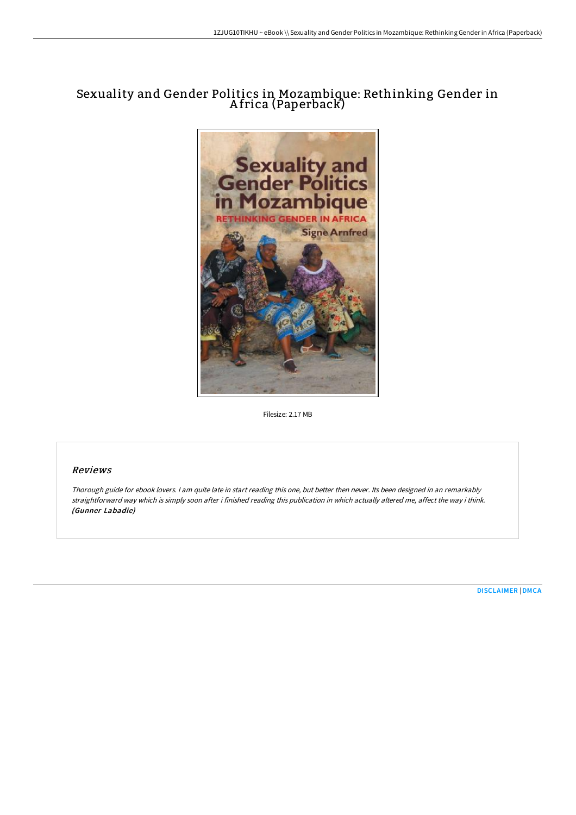# Sexuality and Gender Politics in Mozambique: Rethinking Gender in A frica (Paperback)



Filesize: 2.17 MB

## Reviews

Thorough guide for ebook lovers. <sup>I</sup> am quite late in start reading this one, but better then never. Its been designed in an remarkably straightforward way which is simply soon after i finished reading this publication in which actually altered me, affect the way i think. (Gunner Labadie)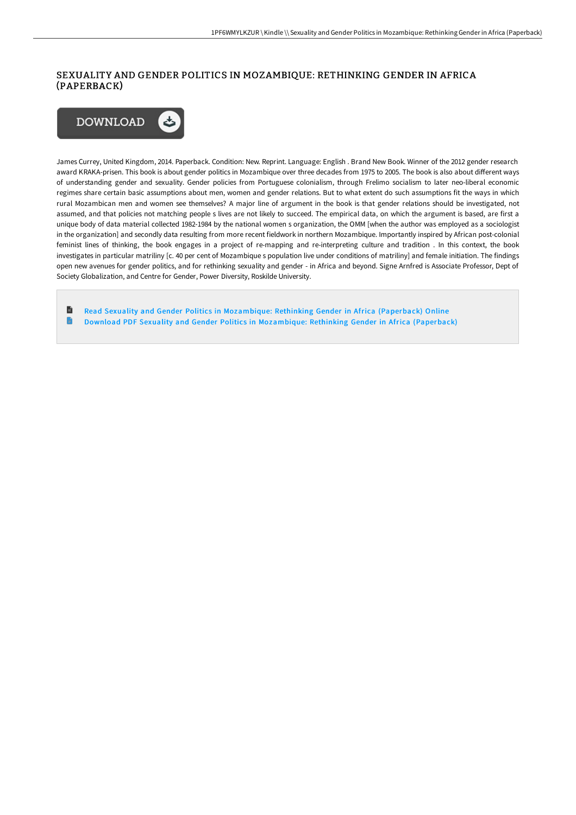## SEXUALITY AND GENDER POLITICS IN MOZAMBIQUE: RETHINKING GENDER IN AFRICA (PAPERBACK)



James Currey, United Kingdom, 2014. Paperback. Condition: New. Reprint. Language: English . Brand New Book. Winner of the 2012 gender research award KRAKA-prisen. This book is about gender politics in Mozambique over three decades from 1975 to 2005. The book is also about different ways of understanding gender and sexuality. Gender policies from Portuguese colonialism, through Frelimo socialism to later neo-liberal economic regimes share certain basic assumptions about men, women and gender relations. But to what extent do such assumptions fit the ways in which rural Mozambican men and women see themselves? A major line of argument in the book is that gender relations should be investigated, not assumed, and that policies not matching people s lives are not likely to succeed. The empirical data, on which the argument is based, are first a unique body of data material collected 1982-1984 by the national women s organization, the OMM [when the author was employed as a sociologist in the organization] and secondly data resulting from more recent fieldwork in northern Mozambique. Importantly inspired by African post-colonial feminist lines of thinking, the book engages in a project of re-mapping and re-interpreting culture and tradition . In this context, the book investigates in particular matriliny [c. 40 per cent of Mozambique s population live under conditions of matriliny] and female initiation. The findings open new avenues for gender politics, and for rethinking sexuality and gender - in Africa and beyond. Signe Arnfred is Associate Professor, Dept of Society Globalization, and Centre for Gender, Power Diversity, Roskilde University.

旨 Read Sexuality and Gender Politics in [Mozambique:](http://bookera.tech/sexuality-and-gender-politics-in-mozambique-reth.html) Rethinking Gender in Africa (Paperback) Online G Download PDF Sexuality and Gender Politics in [Mozambique:](http://bookera.tech/sexuality-and-gender-politics-in-mozambique-reth.html) Rethinking Gender in Africa (Paperback)